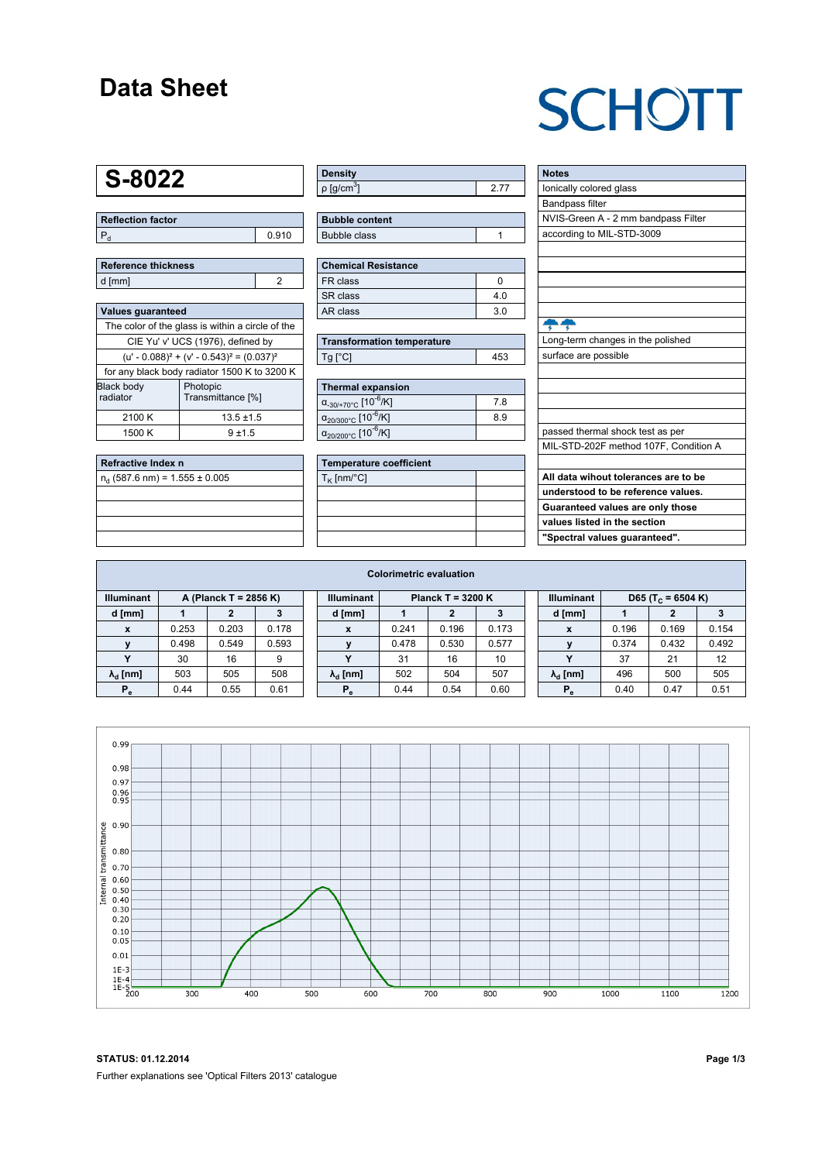### **Data Sheet**

## **SCHOTT**

### **S-8022**

**Reflection factor**  $P_d$  0.910

| Reference thickness |  |
|---------------------|--|
| d [mm]              |  |

| <b>Values quaranteed</b>                            |                               |  |  |  |  |  |  |
|-----------------------------------------------------|-------------------------------|--|--|--|--|--|--|
| The color of the glass is within a circle of the    |                               |  |  |  |  |  |  |
| CIE Yu' v' UCS (1976), defined by                   |                               |  |  |  |  |  |  |
| $(u' - 0.088)^{2} + (v' - 0.543)^{2} = (0.037)^{2}$ |                               |  |  |  |  |  |  |
| for any black body radiator 1500 K to 3200 K        |                               |  |  |  |  |  |  |
| <b>Black body</b><br>radiator                       | Photopic<br>Transmittance [%] |  |  |  |  |  |  |
| 2100 K                                              | $13.5 \pm 1.5$                |  |  |  |  |  |  |
| 1500 K                                              | $9 + 15$                      |  |  |  |  |  |  |

| Refractive Index n               |  |
|----------------------------------|--|
| $n_a$ (587.6 nm) = 1.555 ± 0.005 |  |
|                                  |  |
|                                  |  |
|                                  |  |
|                                  |  |

| <b>Density</b>              |  |
|-----------------------------|--|
| $\rho$ [g/cm <sup>3</sup> ] |  |

| <b>Bubble content</b> |  |
|-----------------------|--|
| <b>Bubble class</b>   |  |

| <b>Chemical Resistance</b> |                |  |  |  |  |  |
|----------------------------|----------------|--|--|--|--|--|
| FR class                   |                |  |  |  |  |  |
| SR class                   | 4.0            |  |  |  |  |  |
| AR class                   | 3 <sub>0</sub> |  |  |  |  |  |

| <b>Transformation temperature</b> |     |
|-----------------------------------|-----|
| $Tg$ [ $^{\circ}$ C]              | 453 |

| Thermal expansion                                 |     |  |  |  |  |  |
|---------------------------------------------------|-----|--|--|--|--|--|
| $\alpha_{-30/+70^{\circ}C}$ [10 <sup>-6</sup> /K] | 7.8 |  |  |  |  |  |
| $\alpha_{20/300^{\circ}C}$ [10 <sup>-6</sup> /K]  | 8.9 |  |  |  |  |  |
| $\alpha_{20/200^{\circ}C}$ [10 <sup>-6</sup> /K]  |     |  |  |  |  |  |

| Temperature coefficient |  |
|-------------------------|--|
| $T_{\rm K}$ [nm/°C]     |  |
|                         |  |
|                         |  |
|                         |  |
|                         |  |

| <b>Notes</b>                          |
|---------------------------------------|
| lonically colored glass               |
| <b>Bandpass filter</b>                |
| NVIS-Green A - 2 mm bandpass Filter   |
| according to MIL-STD-3009             |
|                                       |
|                                       |
|                                       |
|                                       |
|                                       |
|                                       |
| Long-term changes in the polished     |
| surface are possible                  |
|                                       |
|                                       |
|                                       |
|                                       |
| passed thermal shock test as per      |
| MIL-STD-202F method 107F, Condition A |
|                                       |
| All data wihout tolerances are to be  |
| understood to be reference values.    |
| Guaranteed values are only those      |
| values listed in the section          |
| "Spectral values guaranteed".         |

|                                            | <b>Colorimetric evaluation</b> |       |       |  |                                          |       |       |       |  |                                                    |       |       |       |
|--------------------------------------------|--------------------------------|-------|-------|--|------------------------------------------|-------|-------|-------|--|----------------------------------------------------|-------|-------|-------|
| <b>Illuminant</b><br>A (Planck T = 2856 K) |                                |       |       |  | <b>Illuminant</b><br>Planck T = $3200 K$ |       |       |       |  | <b>Illuminant</b><br>D65 (T <sub>c</sub> = 6504 K) |       |       |       |
| d [mm]                                     |                                |       |       |  | d [mm]                                   |       |       | 3     |  | d [mm]                                             |       |       |       |
| $\mathbf{x}$                               | 0.253                          | 0.203 | 0.178 |  | X                                        | 0.241 | 0.196 | 0.173 |  | X                                                  | 0.196 | 0.169 | 0.154 |
|                                            | 0.498                          | 0.549 | 0.593 |  |                                          | 0.478 | 0.530 | 0.577 |  |                                                    | 0.374 | 0.432 | 0.492 |
|                                            | 30                             | 16    | 9     |  | $\checkmark$                             | 31    | 16    | 10    |  |                                                    | 37    | 21    | 12    |
| $\lambda_{\rm d}$ [nm]                     | 503                            | 505   | 508   |  | $\lambda_{\rm d}$ [nm]                   | 502   | 504   | 507   |  | $\lambda_{\rm d}$ [nm]                             | 496   | 500   | 505   |
| $P_e$                                      | 0.44                           | 0.55  | 0.61  |  | $P_e$                                    | 0.44  | 0.54  | 0.60  |  | $P_e$                                              | 0.40  | 0.47  | 0.51  |
|                                            |                                |       |       |  |                                          |       |       |       |  |                                                    |       |       |       |

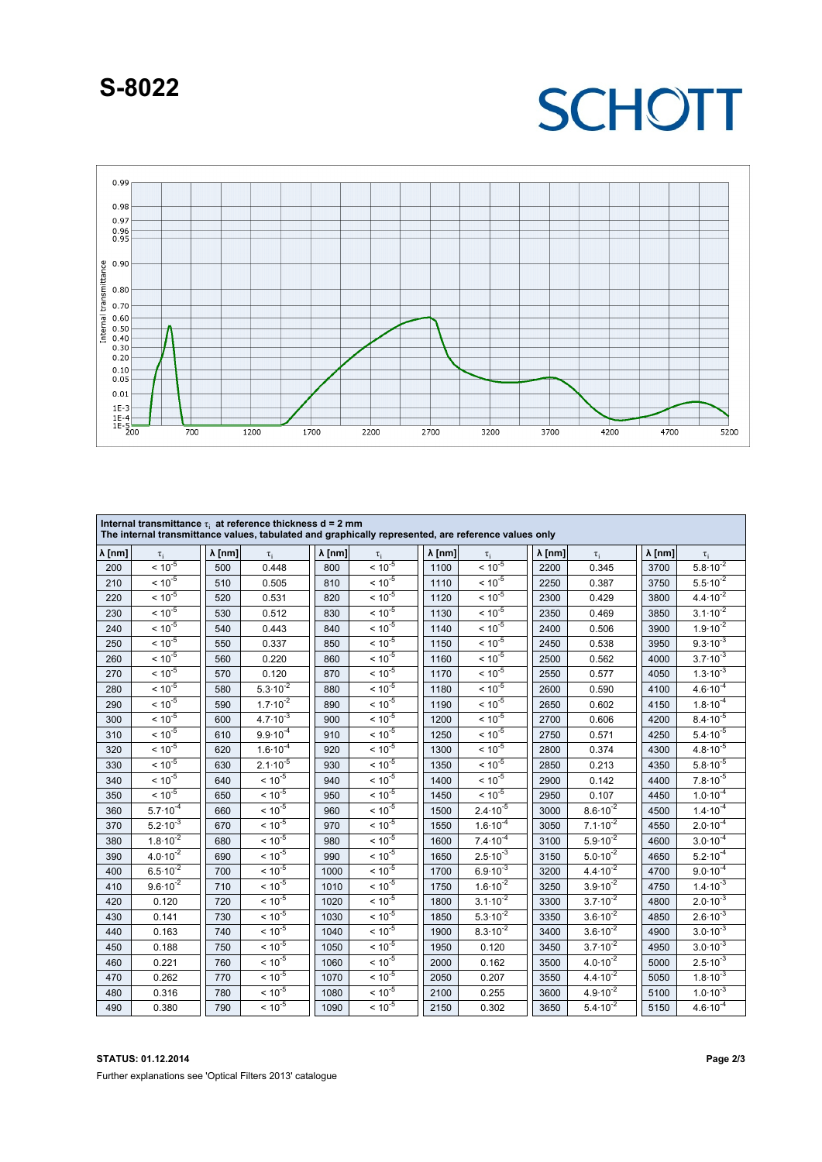### **S-8022**

## **SCHOTT**



| Internal transmittance $\tau_i$ at reference thickness d = 2 mm<br>The internal transmittance values, tabulated and graphically represented, are reference values only |                     |                |                     |                |                |                |                     |                |                              |                |                              |
|------------------------------------------------------------------------------------------------------------------------------------------------------------------------|---------------------|----------------|---------------------|----------------|----------------|----------------|---------------------|----------------|------------------------------|----------------|------------------------------|
| $\lambda$ [nm]                                                                                                                                                         | $\tau_i$            | $\lambda$ [nm] | $\tau_i$            | $\lambda$ [nm] | $\tau_i$       | $\lambda$ [nm] | $\tau_i$            | $\lambda$ [nm] | $\tau_i$                     | $\lambda$ [nm] | $\tau_i$                     |
| 200                                                                                                                                                                    | $< 10^{-5}$         | 500            | 0.448               | 800            | $< 10^{-5}$    | 1100           | $< 10^{-5}$         | 2200           | 0.345                        | 3700           | $5.8 \cdot 10^{-2}$          |
| 210                                                                                                                                                                    | $< 10^{-5}$         | 510            | 0.505               | 810            | $< 10^{-5}$    | 1110           | $< 10^{-5}$         | 2250           | 0.387                        | 3750           | $5.5.10^{2}$                 |
| 220                                                                                                                                                                    | $< 10^{-5}$         | 520            | 0.531               | 820            | $< 10^{-5}$    | 1120           | $< 10^{-5}$         | 2300           | 0.429                        | 3800           | $4.4 \cdot 10^{-2}$          |
| 230                                                                                                                                                                    | $< 10^{-5}$         | 530            | 0.512               | 830            | $< 10^{-5}$    | 1130           | $< 10^{-5}$         | 2350           | 0.469                        | 3850           | $3.1 \cdot 10^{-2}$          |
| 240                                                                                                                                                                    | $< 10^{-5}$         | 540            | 0.443               | 840            | $< 10^{-5}$    | 1140           | $< 10^{-5}$         | 2400           | 0.506                        | 3900           | $1.9.10^{-2}$                |
| 250                                                                                                                                                                    | $< 10^{-5}$         | 550            | 0.337               | 850            | $< 10^{-5}$    | 1150           | $< 10^{-5}$         | 2450           | 0.538                        | 3950           | $9.3 \cdot 10^{-3}$          |
| 260                                                                                                                                                                    | $< 10^{-5}$         | 560            | 0.220               | 860            | $< 10^{-5}$    | 1160           | $< 10^{-5}$         | 2500           | 0.562                        | 4000           | $3.7 \cdot 10^{-3}$          |
| 270                                                                                                                                                                    | $< 10^{-5}$         | 570            | 0.120               | 870            | $< 10^{-5}$    | 1170           | $< 10^{-5}$         | 2550           | 0.577                        | 4050           | $1.\overline{3.10^{-3}}$     |
| 280                                                                                                                                                                    | $< 10^{-5}$         | 580            | $5.3 \cdot 10^{-2}$ | 880            | $< 10^{-5}$    | 1180           | $< 10^{-5}$         | 2600           | 0.590                        | 4100           | $4.6 \cdot 10^{-4}$          |
| 290                                                                                                                                                                    | $< 10^{-5}$         | 590            | $1.7 \cdot 10^{-2}$ | 890            | $< 10^{-5}$    | 1190           | $< 10^{-5}$         | 2650           | 0.602                        | 4150           | $1.8\cdot 10^{-4}$           |
| 300                                                                                                                                                                    | $< 10^{-5}$         | 600            | $4.7 \cdot 10^{-3}$ | 900            | $< 10^{-5}$    | 1200           | $< 10^{-5}$         | 2700           | 0.606                        | 4200           | $8.4 \cdot 10^{-5}$          |
| 310                                                                                                                                                                    | $< 10^{-5}$         | 610            | $9.9.10^{-4}$       | 910            | $< 10^{-5}$    | 1250           | $< 10^{-5}$         | 2750           | 0.571                        | 4250           | $5.4 \cdot 10^{-5}$          |
| 320                                                                                                                                                                    | $< 10^{-5}$         | 620            | $1.6 \cdot 10^{-4}$ | 920            | $< 10^{-5}$    | 1300           | $< 10^{-5}$         | 2800           | 0.374                        | 4300           | $4.8 \cdot 10^{-5}$          |
| 330                                                                                                                                                                    | $< 10^{-5}$         | 630            | $2.1 \cdot 10^{-5}$ | 930            | $< 10^{-5}$    | 1350           | $< 10^{-5}$         | 2850           | 0.213                        | 4350           | $5.8 \cdot 10^{-5}$          |
| 340                                                                                                                                                                    | $< 10^{-5}$         | 640            | $< 10^{-5}$         | 940            | $< 10^{-5}$    | 1400           | $< 10^{-5}$         | 2900           | 0.142                        | 4400           | $7.8 \cdot 10^{-5}$          |
| 350                                                                                                                                                                    | $< 10^{-5}$         | 650            | $< 10^{-5}$         | 950            | $< 10^{-5}$    | 1450           | $< 10^{-5}$         | 2950           | 0.107                        | 4450           | $1.0.10^{4}$                 |
| 360                                                                                                                                                                    | $5.7 \cdot 10^{-4}$ | 660            | $< 10^{-5}$         | 960            | $< 10^{-5}$    | 1500           | $2.4 \cdot 10^{-5}$ | 3000           | $8.6 \cdot 10^{-2}$          | 4500           | $1.4 \cdot 10^{-4}$          |
| 370                                                                                                                                                                    | $5.2 \cdot 10^{-3}$ | 670            | $< 10^{-5}$         | 970            | $< 10^{-5}$    | 1550           | $1.6 \cdot 10^{-4}$ | 3050           | $7.1 \cdot 10^{-2}$          | 4550           | $2.0\cdot\overline{10^{-4}}$ |
| 380                                                                                                                                                                    | $1.8 \cdot 10^{-2}$ | 680            | $< 10^{-5}$         | 980            | $< 10^{-5}$    | 1600           | $7.4 \cdot 10^{-4}$ | 3100           | $5.9.10^{2}$                 | 4600           | $3.0 \cdot 10^{-4}$          |
| 390                                                                                                                                                                    | $4.0 \cdot 10^{-2}$ | 690            | $< 10^{-5}$         | 990            | $< 10^{-5}$    | 1650           | $2.5 \cdot 10^{-3}$ | 3150           | $5.0 \cdot 10^{-2}$          | 4650           | $5.2 \cdot 10^{-4}$          |
| 400                                                                                                                                                                    | $6.5 \cdot 10^{-2}$ | 700            | $< 10^{-5}$         | 1000           | $< 10^{-5}$    | 1700           | $6.9.10^{-3}$       | 3200           | $4.4 \cdot 10^{-2}$          | 4700           | $9.0 \cdot 10^{-4}$          |
| 410                                                                                                                                                                    | $9.6 \cdot 10^{-2}$ | 710            | $< 10^{-5}$         | 1010           | $< 10^{-5}$    | 1750           | $1.6 \cdot 10^{-2}$ | 3250           | $3.9.10^{2}$                 | 4750           | $1.4 \cdot 10^{-3}$          |
| 420                                                                                                                                                                    | 0.120               | 720            | $< 10^{-5}$         | 1020           | $< 10^{-5}$    | 1800           | $3.1 \cdot 10^{-2}$ | 3300           | $3.7 \cdot 10^{-2}$          | 4800           | $2.0 \cdot 10^{-3}$          |
| 430                                                                                                                                                                    | 0.141               | 730            | $< 10^{-5}$         | 1030           | $< 10^{-5}$    | 1850           | $5.3 \cdot 10^{-2}$ | 3350           | $3.6 \cdot 10^{-2}$          | 4850           | $2.6 \cdot 10^{-3}$          |
| 440                                                                                                                                                                    | 0.163               | 740            | $< 10^{-5}$         | 1040           | $< 10^{-5}$    | 1900           | $8.3 \cdot 10^{-2}$ | 3400           | $3.6 \cdot 10^{-2}$          | 4900           | $3.0.10^{-3}$                |
| 450                                                                                                                                                                    | 0.188               | 750            | $< 10^{-5}$         | 1050           | $< 10^{-5}$    | 1950           | 0.120               | 3450           | $3.7 \cdot 10^{-2}$          | 4950           | $3.0 \cdot 10^{-3}$          |
| 460                                                                                                                                                                    | 0.221               | 760            | $< 10^{-5}$         | 1060           | $< 10^{-5}$    | 2000           | 0.162               | 3500           | $4.0\cdot\overline{10^{-2}}$ | 5000           | $2.5 \cdot 10^{-3}$          |
| 470                                                                                                                                                                    | 0.262               | 770            | $< 10^{-5}$         | 1070           | $< 10^{-5}$    | 2050           | 0.207               | 3550           | $4.4 \cdot 10^{-2}$          | 5050           | $1.8 \cdot 10^{-3}$          |
| 480                                                                                                                                                                    | 0.316               | 780            | $< 10^{-5}$         | 1080           | $< 10^{-5}$    | 2100           | 0.255               | 3600           | $4.9\cdot 10^{-2}$           | 5100           | $1.0 \cdot 10^{-3}$          |
| 490                                                                                                                                                                    | 0.380               | 790            | $< 10^{-5}$         | 1090           | $\leq 10^{-5}$ | 2150           | 0.302               | 3650           | $5.4 \cdot 10^{-2}$          | 5150           | $4.6 \cdot 10^{-4}$          |